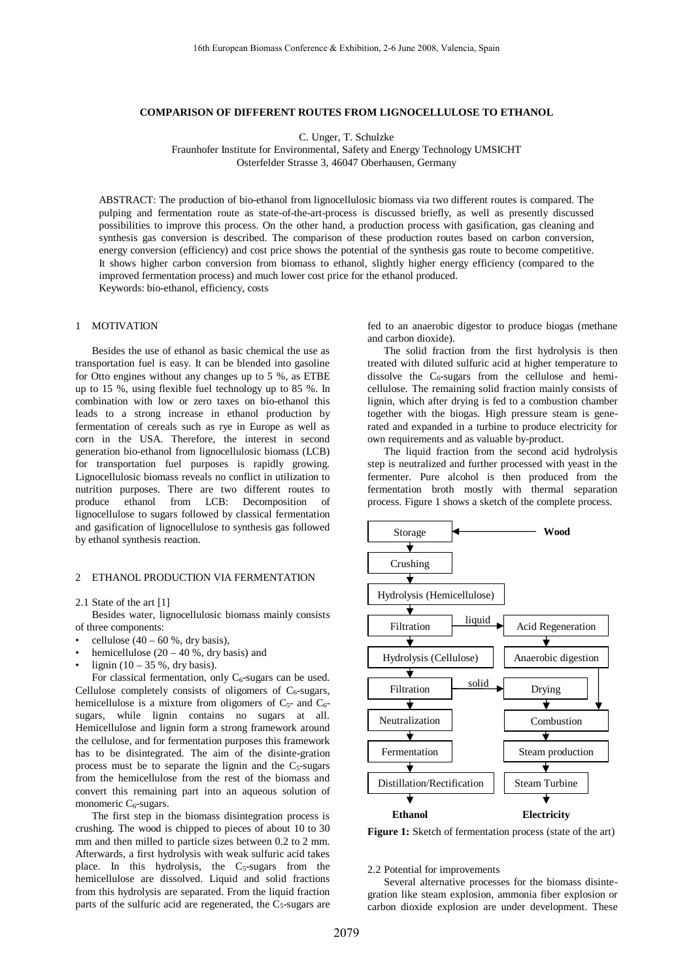## **COMPARISON OF DIFFERENT ROUTES FROM LIGNOCELLULOSE TO ETHANOL**

C. Unger, T. Schulzke

Fraunhofer Institute for Environmental, Safety and Energy Technology UMSICHT Osterfelder Strasse 3, 46047 Oberhausen, Germany

ABSTRACT: The production of bio-ethanol from lignocellulosic biomass via two different routes is compared. The pulping and fermentation route as state-of-the-art-process is discussed briefly, as well as presently discussed possibilities to improve this process. On the other hand, a production process with gasification, gas cleaning and synthesis gas conversion is described. The comparison of these production routes based on carbon conversion, energy conversion (efficiency) and cost price shows the potential of the synthesis gas route to become competitive. It shows higher carbon conversion from biomass to ethanol, slightly higher energy efficiency (compared to the improved fermentation process) and much lower cost price for the ethanol produced. Keywords: bio-ethanol, efficiency, costs

# 1 MOTIVATION

Besides the use of ethanol as basic chemical the use as transportation fuel is easy. It can be blended into gasoline for Otto engines without any changes up to 5 %, as ETBE up to 15 %, using flexible fuel technology up to 85 %. In combination with low or zero taxes on bio-ethanol this leads to a strong increase in ethanol production by fermentation of cereals such as rye in Europe as well as corn in the USA. Therefore, the interest in second generation bio-ethanol from lignocellulosic biomass (LCB) for transportation fuel purposes is rapidly growing. Lignocellulosic biomass reveals no conflict in utilization to nutrition purposes. There are two different routes to produce ethanol from LCB: Decomposition of lignocellulose to sugars followed by classical fermentation and gasification of lignocellulose to synthesis gas followed by ethanol synthesis reaction.

## 2 ETHANOL PRODUCTION VIA FERMENTATION

## 2.1 State of the art [1]

Besides water, lignocellulosic biomass mainly consists of three components:

- cellulose  $(40 60 %$ , dry basis),
- hemicellulose  $(20 40 %$ , dry basis) and
- lignin  $(10 35 %$ , dry basis).

For classical fermentation, only  $C_6$ -sugars can be used. Cellulose completely consists of oligomers of  $C_6$ -sugars, hemicellulose is a mixture from oligomers of  $C_5$ - and  $C_6$ sugars, while lignin contains no sugars at all. Hemicellulose and lignin form a strong framework around the cellulose, and for fermentation purposes this framework has to be disintegrated. The aim of the disinte-gration process must be to separate the lignin and the  $C_5$ -sugars from the hemicellulose from the rest of the biomass and convert this remaining part into an aqueous solution of monomeric  $C_6$ -sugars.

The first step in the biomass disintegration process is crushing. The wood is chipped to pieces of about 10 to 30 mm and then milled to particle sizes between 0.2 to 2 mm. Afterwards, a first hydrolysis with weak sulfuric acid takes place. In this hydrolysis, the  $C_5$ -sugars from the hemicellulose are dissolved. Liquid and solid fractions from this hydrolysis are separated. From the liquid fraction parts of the sulfuric acid are regenerated, the  $C_5$ -sugars are

fed to an anaerobic digestor to produce biogas (methane and carbon dioxide).

The solid fraction from the first hydrolysis is then treated with diluted sulfuric acid at higher temperature to dissolve the  $C_6$ -sugars from the cellulose and hemicellulose. The remaining solid fraction mainly consists of lignin, which after drying is fed to a combustion chamber together with the biogas. High pressure steam is generated and expanded in a turbine to produce electricity for own requirements and as valuable by-product.

The liquid fraction from the second acid hydrolysis step is neutralized and further processed with yeast in the fermenter. Pure alcohol is then produced from the fermentation broth mostly with thermal separation process. Figure 1 shows a sketch of the complete process.



Figure 1: Sketch of fermentation process (state of the art)

#### 2.2 Potential for improvements

Several alternative processes for the biomass disintegration like steam explosion, ammonia fiber explosion or carbon dioxide explosion are under development. These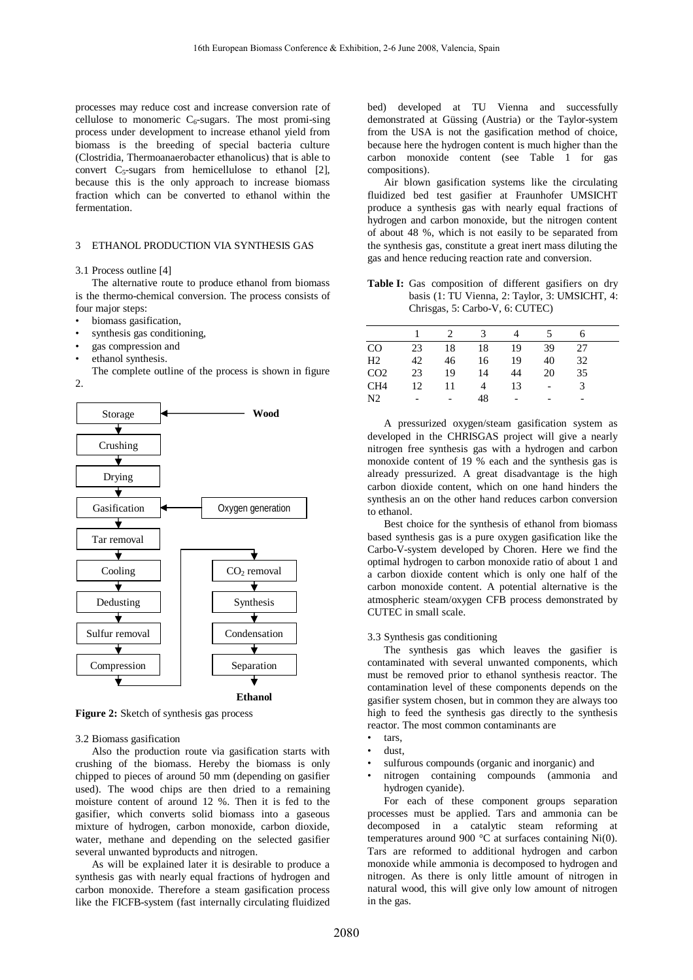processes may reduce cost and increase conversion rate of cellulose to monomeric  $C_6$ -sugars. The most promi-sing process under development to increase ethanol yield from biomass is the breeding of special bacteria culture (Clostridia, Thermoanaerobacter ethanolicus) that is able to convert  $C_5$ -sugars from hemicellulose to ethanol [2], because this is the only approach to increase biomass fraction which can be converted to ethanol within the fermentation.

#### 3 ETHANOL PRODUCTION VIA SYNTHESIS GAS

## 3.1 Process outline [4]

The alternative route to produce ethanol from biomass is the thermo-chemical conversion. The process consists of four major steps:

- biomass gasification,
- synthesis gas conditioning,
- gas compression and
- ethanol synthesis.

The complete outline of the process is shown in figure  $\mathcal{L}$ 



**Figure 2:** Sketch of synthesis gas process

## 3.2 Biomass gasification

Also the production route via gasification starts with crushing of the biomass. Hereby the biomass is only chipped to pieces of around 50 mm (depending on gasifier used). The wood chips are then dried to a remaining moisture content of around 12 %. Then it is fed to the gasifier, which converts solid biomass into a gaseous mixture of hydrogen, carbon monoxide, carbon dioxide, water, methane and depending on the selected gasifier several unwanted byproducts and nitrogen.

As will be explained later it is desirable to produce a synthesis gas with nearly equal fractions of hydrogen and carbon monoxide. Therefore a steam gasification process like the FICFB-system (fast internally circulating fluidized bed) developed at TU Vienna and successfully demonstrated at Güssing (Austria) or the Taylor-system from the USA is not the gasification method of choice, because here the hydrogen content is much higher than the carbon monoxide content (see Table 1 for gas compositions).

Air blown gasification systems like the circulating fluidized bed test gasifier at Fraunhofer UMSICHT produce a synthesis gas with nearly equal fractions of hydrogen and carbon monoxide, but the nitrogen content of about 48 %, which is not easily to be separated from the synthesis gas, constitute a great inert mass diluting the gas and hence reducing reaction rate and conversion.

Table I: Gas composition of different gasifiers on dry basis (1: TU Vienna, 2: Taylor, 3: UMSICHT, 4: Chrisgas, 5: Carbo-V, 6: CUTEC)

|                 |    |    | 3  |    |    |    |  |
|-----------------|----|----|----|----|----|----|--|
| CO              | 23 | 18 | 18 | 19 | 39 | 27 |  |
| H <sub>2</sub>  | 42 | 46 | 16 | 19 | 40 | 32 |  |
| CO <sub>2</sub> | 23 | 19 | 14 | 44 | 20 | 35 |  |
| CH <sub>4</sub> | 12 | 11 |    | 13 |    |    |  |
| N2              |    |    | 48 |    |    |    |  |
|                 |    |    |    |    |    |    |  |

A pressurized oxygen/steam gasification system as developed in the CHRISGAS project will give a nearly nitrogen free synthesis gas with a hydrogen and carbon monoxide content of 19 % each and the synthesis gas is already pressurized. A great disadvantage is the high carbon dioxide content, which on one hand hinders the synthesis an on the other hand reduces carbon conversion to ethanol.

Best choice for the synthesis of ethanol from biomass based synthesis gas is a pure oxygen gasification like the Carbo-V-system developed by Choren. Here we find the optimal hydrogen to carbon monoxide ratio of about 1 and a carbon dioxide content which is only one half of the carbon monoxide content. A potential alternative is the atmospheric steam/oxygen CFB process demonstrated by CUTEC in small scale.

#### 3.3 Synthesis gas conditioning

The synthesis gas which leaves the gasifier is contaminated with several unwanted components, which must be removed prior to ethanol synthesis reactor. The contamination level of these components depends on the gasifier system chosen, but in common they are always too high to feed the synthesis gas directly to the synthesis reactor. The most common contaminants are

- tars.
- dust,
- sulfurous compounds (organic and inorganic) and
- nitrogen containing compounds (ammonia and hydrogen cyanide).

For each of these component groups separation processes must be applied. Tars and ammonia can be decomposed in a catalytic steam reforming at temperatures around 900  $^{\circ}$ C at surfaces containing Ni(0). Tars are reformed to additional hydrogen and carbon monoxide while ammonia is decomposed to hydrogen and nitrogen. As there is only little amount of nitrogen in natural wood, this will give only low amount of nitrogen in the gas.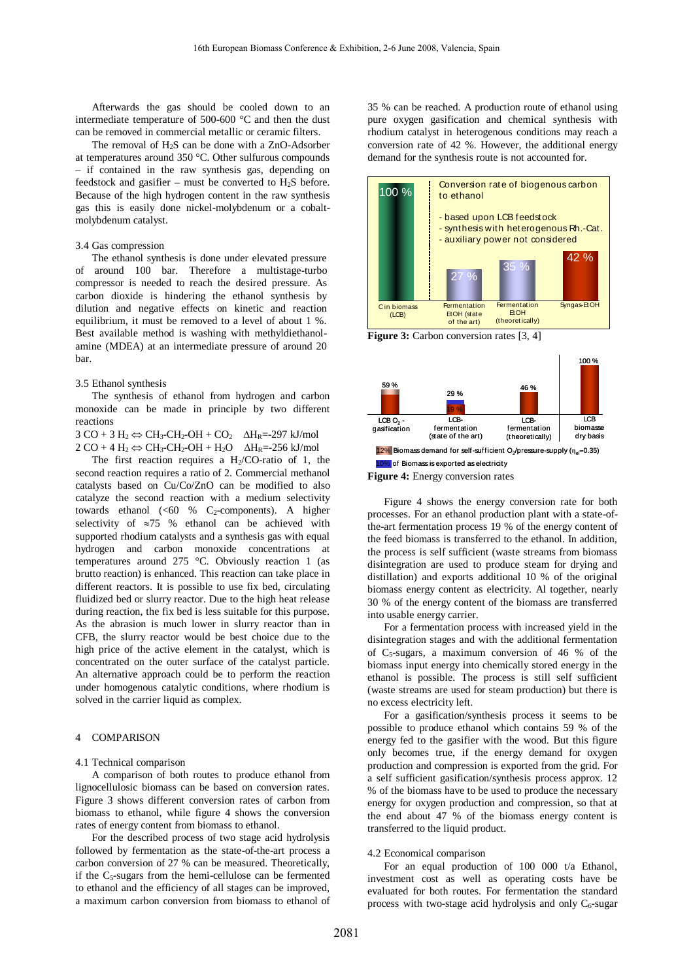Afterwards the gas should be cooled down to an intermediate temperature of 500-600 °C and then the dust can be removed in commercial metallic or ceramic filters.

The removal of  $H_2S$  can be done with a ZnO-Adsorber at temperatures around 350 °C. Other sulfurous compounds – if contained in the raw synthesis gas, depending on feedstock and gasifier – must be converted to  $H_2S$  before. Because of the high hydrogen content in the raw synthesis gas this is easily done nickel-molybdenum or a cobaltmolybdenum catalyst.

## 3.4 Gas compression

The ethanol synthesis is done under elevated pressure of around 100 bar. Therefore a multistage-turbo compressor is needed to reach the desired pressure. As carbon dioxide is hindering the ethanol synthesis by dilution and negative effects on kinetic and reaction equilibrium, it must be removed to a level of about 1 %. Best available method is washing with methyldiethanolamine (MDEA) at an intermediate pressure of around 20 bar.

## 3.5 Ethanol synthesis

The synthesis of ethanol from hydrogen and carbon monoxide can be made in principle by two different reactions

 $3 CO + 3 H_2 \Leftrightarrow CH_3-CH_2-OH + CO_2$   $\Delta H_R = -297$  kJ/mol  $2 CO + 4 H_2 \Leftrightarrow CH_3-CH_2-OH + H_2O \quad \Delta H_R = -256 \text{ kJ/mol}$ 

The first reaction requires a  $H<sub>2</sub>/CO-ratio$  of 1, the second reaction requires a ratio of 2. Commercial methanol catalysts based on Cu/Co/ZnO can be modified to also catalyze the second reaction with a medium selectivity towards ethanol  $(<60 % C<sub>2</sub>-components)$ . A higher selectivity of  $\approx 75$  % ethanol can be achieved with supported rhodium catalysts and a synthesis gas with equal hydrogen and carbon monoxide concentrations at temperatures around 275 °C. Obviously reaction 1 (as brutto reaction) is enhanced. This reaction can take place in different reactors. It is possible to use fix bed, circulating fluidized bed or slurry reactor. Due to the high heat release during reaction, the fix bed is less suitable for this purpose. As the abrasion is much lower in slurry reactor than in CFB, the slurry reactor would be best choice due to the high price of the active element in the catalyst, which is concentrated on the outer surface of the catalyst particle. An alternative approach could be to perform the reaction under homogenous catalytic conditions, where rhodium is solved in the carrier liquid as complex.

#### 4 COMPARISON

## 4.1 Technical comparison

A comparison of both routes to produce ethanol from lignocellulosic biomass can be based on conversion rates. Figure 3 shows different conversion rates of carbon from biomass to ethanol, while figure 4 shows the conversion rates of energy content from biomass to ethanol.

For the described process of two stage acid hydrolysis followed by fermentation as the state-of-the-art process a carbon conversion of 27 % can be measured. Theoretically, if the C5-sugars from the hemi-cellulose can be fermented to ethanol and the efficiency of all stages can be improved, a maximum carbon conversion from biomass to ethanol of 35 % can be reached. A production route of ethanol using pure oxygen gasification and chemical synthesis with rhodium catalyst in heterogenous conditions may reach a conversion rate of 42 %. However, the additional energy demand for the synthesis route is not accounted for.



**Figure 3:** Carbon conversion rates [3, 4]



**Figure 4:** Energy conversion rates

Figure 4 shows the energy conversion rate for both processes. For an ethanol production plant with a state-ofthe-art fermentation process 19 % of the energy content of the feed biomass is transferred to the ethanol. In addition, the process is self sufficient (waste streams from biomass disintegration are used to produce steam for drying and distillation) and exports additional 10 % of the original biomass energy content as electricity. Al together, nearly 30 % of the energy content of the biomass are transferred into usable energy carrier.

For a fermentation process with increased yield in the disintegration stages and with the additional fermentation of  $C_5$ -sugars, a maximum conversion of 46 % of the biomass input energy into chemically stored energy in the ethanol is possible. The process is still self sufficient (waste streams are used for steam production) but there is no excess electricity left.

For a gasification/synthesis process it seems to be possible to produce ethanol which contains 59 % of the energy fed to the gasifier with the wood. But this figure only becomes true, if the energy demand for oxygen production and compression is exported from the grid. For a self sufficient gasification/synthesis process approx. 12 % of the biomass have to be used to produce the necessary energy for oxygen production and compression, so that at the end about 47 % of the biomass energy content is transferred to the liquid product.

#### 4.2 Economical comparison

For an equal production of 100 000 t/a Ethanol, investment cost as well as operating costs have be evaluated for both routes. For fermentation the standard process with two-stage acid hydrolysis and only  $C_6$ -sugar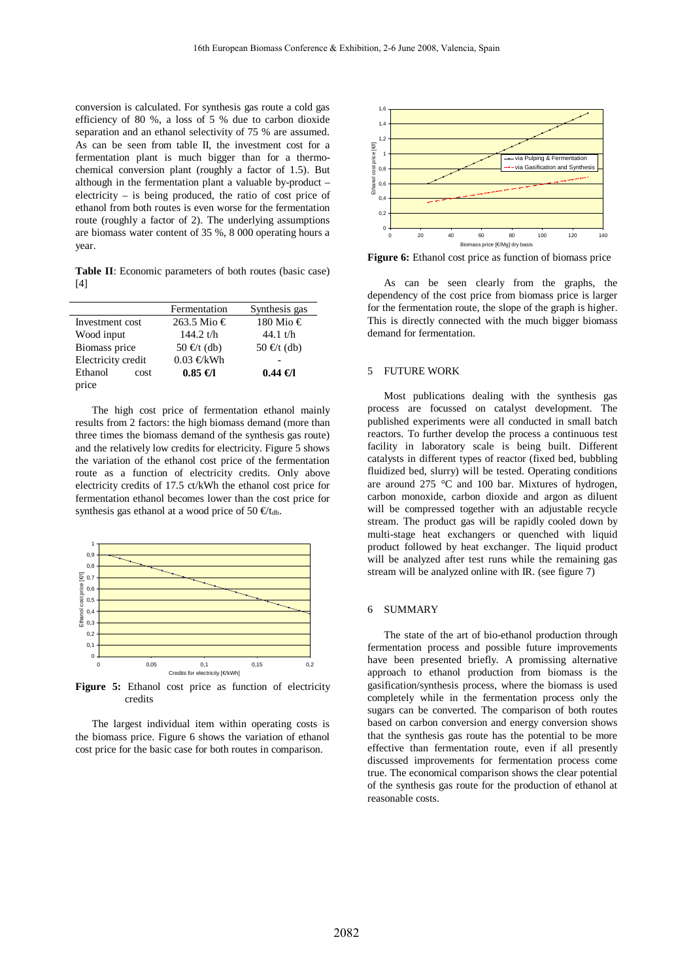conversion is calculated. For synthesis gas route a cold gas efficiency of 80 %, a loss of 5 % due to carbon dioxide separation and an ethanol selectivity of 75 % are assumed. As can be seen from table II, the investment cost for a fermentation plant is much bigger than for a thermochemical conversion plant (roughly a factor of 1.5). But although in the fermentation plant a valuable by-product – electricity – is being produced, the ratio of cost price of ethanol from both routes is even worse for the fermentation route (roughly a factor of 2). The underlying assumptions are biomass water content of 35 %, 8 000 operating hours a year.

**Table II**: Economic parameters of both routes (basic case) [4]

|                    | Fermentation  | Synthesis gas |  |
|--------------------|---------------|---------------|--|
| Investment cost    | 263.5 Mio €   | 180 Mio €     |  |
| Wood input         | 144.2 $t/h$   | 44.1 $t/h$    |  |
| Biomass price      | $50 \in (db)$ | $50 \in (db)$ |  |
| Electricity credit | $0.03$ €kWh   |               |  |
| Ethanol<br>cost    | $0.85 \in I$  | $0.44 \in I$  |  |
| price              |               |               |  |

The high cost price of fermentation ethanol mainly results from 2 factors: the high biomass demand (more than three times the biomass demand of the synthesis gas route) and the relatively low credits for electricity. Figure 5 shows the variation of the ethanol cost price of the fermentation route as a function of electricity credits. Only above electricity credits of 17.5 ct/kWh the ethanol cost price for fermentation ethanol becomes lower than the cost price for synthesis gas ethanol at a wood price of 50  $\epsilon t_{db}$ .



Figure 5: Ethanol cost price as function of electricity credits

The largest individual item within operating costs is the biomass price. Figure 6 shows the variation of ethanol cost price for the basic case for both routes in comparison.



**Figure 6:** Ethanol cost price as function of biomass price

As can be seen clearly from the graphs, the dependency of the cost price from biomass price is larger for the fermentation route, the slope of the graph is higher. This is directly connected with the much bigger biomass demand for fermentation.

## 5 FUTURE WORK

Most publications dealing with the synthesis gas process are focussed on catalyst development. The published experiments were all conducted in small batch reactors. To further develop the process a continuous test facility in laboratory scale is being built. Different catalysts in different types of reactor (fixed bed, bubbling fluidized bed, slurry) will be tested. Operating conditions are around 275 °C and 100 bar. Mixtures of hydrogen, carbon monoxide, carbon dioxide and argon as diluent will be compressed together with an adjustable recycle stream. The product gas will be rapidly cooled down by multi-stage heat exchangers or quenched with liquid product followed by heat exchanger. The liquid product will be analyzed after test runs while the remaining gas stream will be analyzed online with IR. (see figure 7)

#### 6 SUMMARY

The state of the art of bio-ethanol production through fermentation process and possible future improvements have been presented briefly. A promissing alternative approach to ethanol production from biomass is the gasification/synthesis process, where the biomass is used completely while in the fermentation process only the sugars can be converted. The comparison of both routes based on carbon conversion and energy conversion shows that the synthesis gas route has the potential to be more effective than fermentation route, even if all presently discussed improvements for fermentation process come true. The economical comparison shows the clear potential of the synthesis gas route for the production of ethanol at reasonable costs.